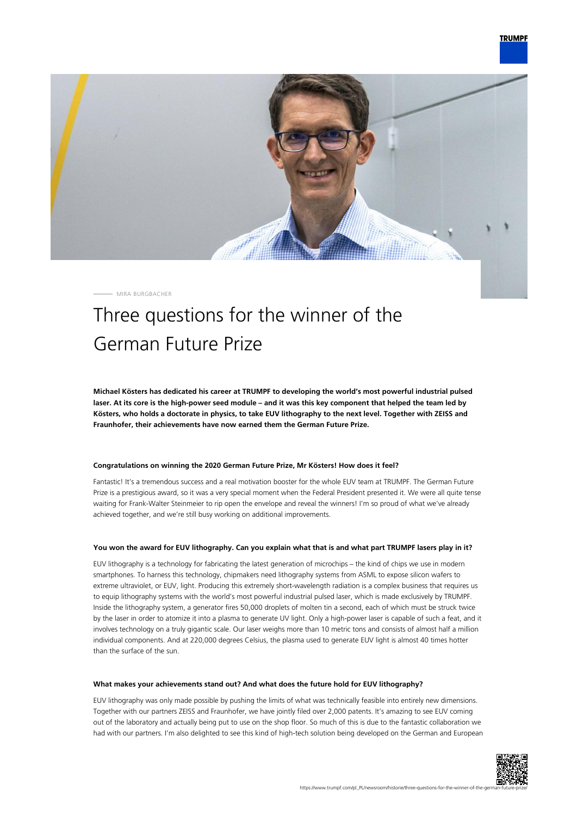

MIRA BURGBACHER

## Three questions for the winner of the German Future Prize

**Michael Kösters has dedicated his career at TRUMPF to developing the world's most powerful industrial pulsed laser. At its core is the high-power seed module – and it was this key component that helped the team led by Kösters, who holds a doctorate in physics, to take EUV lithography to the next level. Together with ZEISS and Fraunhofer, their achievements have now earned them the German Future Prize.**

## **Congratulations on winning the 2020 German Future Prize, Mr Kösters! How does it feel?**

Fantastic! It's a tremendous success and a real motivation booster for the whole EUV team at TRUMPF. The German Future Prize is a prestigious award, so it was a very special moment when the Federal President presented it. We were all quite tense waiting for Frank-Walter Steinmeier to rip open the envelope and reveal the winners! I'm so proud of what we've already achieved together, and we're still busy working on additional improvements.

## **You won the award for EUV lithography. Can you explain what that is and what part TRUMPF lasers play in it?**

EUV lithography is a technology for fabricating the latest generation of microchips – the kind of chips we use in modern smartphones. To harness this technology, chipmakers need lithography systems from ASML to expose silicon wafers to extreme ultraviolet, or EUV, light. Producing this extremely short-wavelength radiation is a complex business that requires us to equip lithography systems with the world's most powerful industrial pulsed laser, which is made exclusively by TRUMPF. Inside the lithography system, a generator fires 50,000 droplets of molten tin a second, each of which must be struck twice by the laser in order to atomize it into a plasma to generate UV light. Only a high-power laser is capable of such a feat, and it involves technology on a truly gigantic scale. Our laser weighs more than 10 metric tons and consists of almost half a million individual components. And at 220,000 degrees Celsius, the plasma used to generate EUV light is almost 40 times hotter than the surface of the sun.

## **What makes your achievements stand out? And what does the future hold for EUV lithography?**

EUV lithography was only made possible by pushing the limits of what was technically feasible into entirely new dimensions. Together with our partners ZEISS and Fraunhofer, we have jointly filed over 2,000 patents. It's amazing to see EUV coming out of the laboratory and actually being put to use on the shop floor. So much of this is due to the fantastic collaboration we had with our partners. I'm also delighted to see this kind of high-tech solution being developed on the German and European